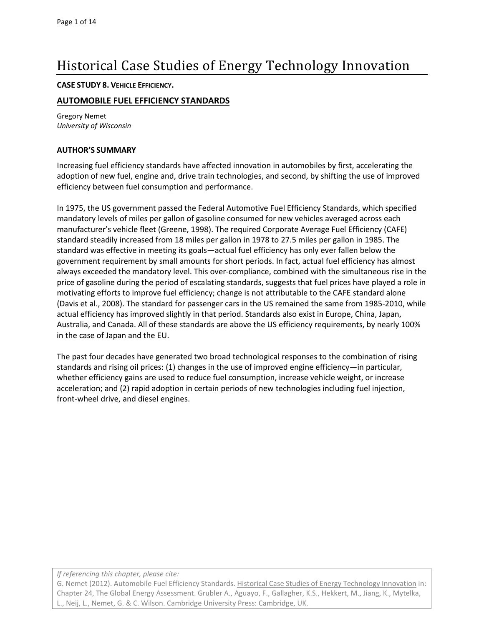# Historical Case Studies of Energy Technology Innovation

#### **CASE STUDY 8. VEHICLE EFFICIENCY.**

## **AUTOMOBILE FUEL EFFICIENCY STANDARDS**

Gregory Nemet *University of Wisconsin*

#### **AUTHOR'S SUMMARY**

Increasing fuel efficiency standards have affected innovation in automobiles by first, accelerating the adoption of new fuel, engine and, drive train technologies, and second, by shifting the use of improved efficiency between fuel consumption and performance.

In 1975, the US government passed the Federal Automotive Fuel Efficiency Standards, which specified mandatory levels of miles per gallon of gasoline consumed for new vehicles averaged across each manufacturer's vehicle fleet [\(Greene, 1998\)](#page-12-0). The required Corporate Average Fuel Efficiency (CAFE) standard steadily increased from 18 miles per gallon in 1978 to 27.5 miles per gallon in 1985. The standard was effective in meeting its goals—actual fuel efficiency has only ever fallen below the government requirement by small amounts for short periods. In fact, actual fuel efficiency has almost always exceeded the mandatory level. This over-compliance, combined with the simultaneous rise in the price of gasoline during the period of escalating standards, suggests that fuel prices have played a role in motivating efforts to improve fuel efficiency; change is not attributable to the CAFE standard alone [\(Davis et al., 2008\)](#page-12-1). The standard for passenger cars in the US remained the same from 1985-2010, while actual efficiency has improved slightly in that period. Standards also exist in Europe, China, Japan, Australia, and Canada. All of these standards are above the US efficiency requirements, by nearly 100% in the case of Japan and the EU.

The past four decades have generated two broad technological responses to the combination of rising standards and rising oil prices: (1) changes in the use of improved engine efficiency—in particular, whether efficiency gains are used to reduce fuel consumption, increase vehicle weight, or increase acceleration; and (2) rapid adoption in certain periods of new technologies including fuel injection, front-wheel drive, and diesel engines.

*If referencing this chapter, please cite:*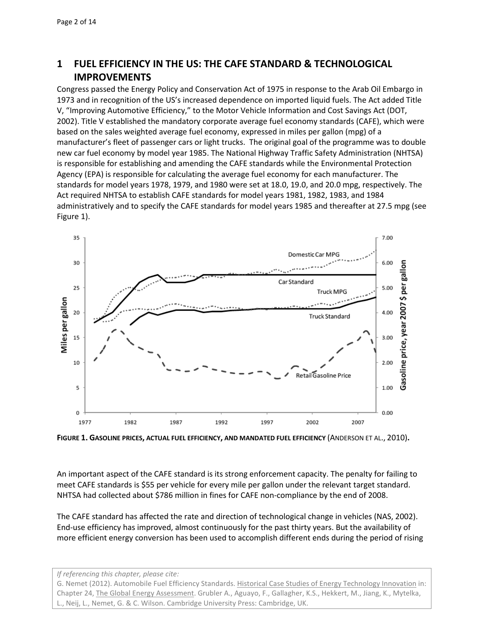# **1 FUEL EFFICIENCY IN THE US: THE CAFE STANDARD & TECHNOLOGICAL IMPROVEMENTS**

Congress passed the Energy Policy and Conservation Act of 1975 in response to the Arab Oil Embargo in 1973 and in recognition of the US's increased dependence on imported liquid fuels. The Act added Title V, "Improving Automotive Efficiency," to the Motor Vehicle Information and Cost Savings Act [\(DOT,](#page-12-2)  2002). Title V established the mandatory corporate average fuel economy standards (CAFE), which were based on the sales weighted average fuel economy, expressed in miles per gallon (mpg) of a manufacturer's fleet of passenger cars or light trucks. The original goal of the programme was to double new car fuel economy by model year 1985. The National Highway Traffic Safety Administration (NHTSA) is responsible for establishing and amending the CAFE standards while the Environmental Protection Agency (EPA) is responsible for calculating the average fuel economy for each manufacturer. The standards for model years 1978, 1979, and 1980 were set at 18.0, 19.0, and 20.0 mpg, respectively. The Act required NHTSA to establish CAFE standards for model years 1981, 1982, 1983, and 1984 administratively and to specify the CAFE standards for model years 1985 and thereafter at 27.5 mpg (see Figure 1).



**FIGURE 1. GASOLINE PRICES, ACTUAL FUEL EFFICIENCY, AND MANDATED FUEL EFFICIENCY** [\(ANDERSON ET AL.,](#page-12-3) 2010)**.**

An important aspect of the CAFE standard is its strong enforcement capacity. The penalty for failing to meet CAFE standards is \$55 per vehicle for every mile per gallon under the relevant target standard. NHTSA had collected about \$786 million in fines for CAFE non-compliance by the end of 2008.

The CAFE standard has affected the rate and direction of technological change in vehicles [\(NAS, 2002\)](#page-12-4). End-use efficiency has improved, almost continuously for the past thirty years. But the availability of more efficient energy conversion has been used to accomplish different ends during the period of rising

*If referencing this chapter, please cite:*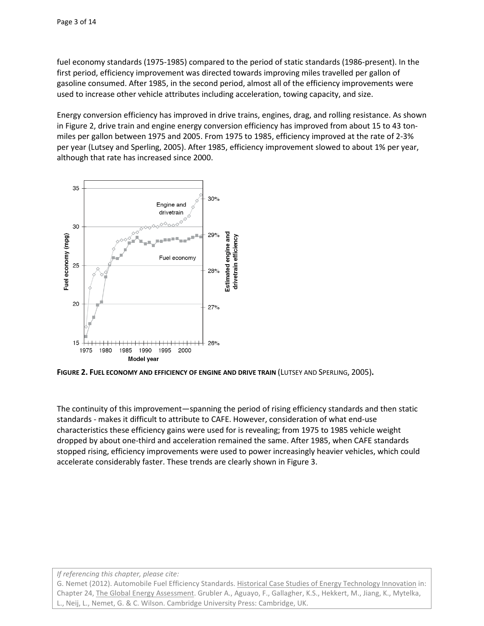fuel economy standards (1975-1985) compared to the period of static standards (1986-present). In the first period, efficiency improvement was directed towards improving miles travelled per gallon of gasoline consumed. After 1985, in the second period, almost all of the efficiency improvements were used to increase other vehicle attributes including acceleration, towing capacity, and size.

Energy conversion efficiency has improved in drive trains, engines, drag, and rolling resistance. As shown in Figure 2, drive train and engine energy conversion efficiency has improved from about 15 to 43 tonmiles per gallon between 1975 and 2005. From 1975 to 1985, efficiency improved at the rate of 2-3% per year [\(Lutsey and Sperling, 2005\)](#page-12-5). After 1985, efficiency improvement slowed to about 1% per year, although that rate has increased since 2000.



**FIGURE 2. FUEL ECONOMY AND EFFICIENCY OF ENGINE AND DRIVE TRAIN** [\(LUTSEY AND SPERLING,](#page-12-5) 2005)**.**

The continuity of this improvement—spanning the period of rising efficiency standards and then static standards - makes it difficult to attribute to CAFE. However, consideration of what end-use characteristics these efficiency gains were used for is revealing; from 1975 to 1985 vehicle weight dropped by about one-third and acceleration remained the same. After 1985, when CAFE standards stopped rising, efficiency improvements were used to power increasingly heavier vehicles, which could accelerate considerably faster. These trends are clearly shown in Figure 3.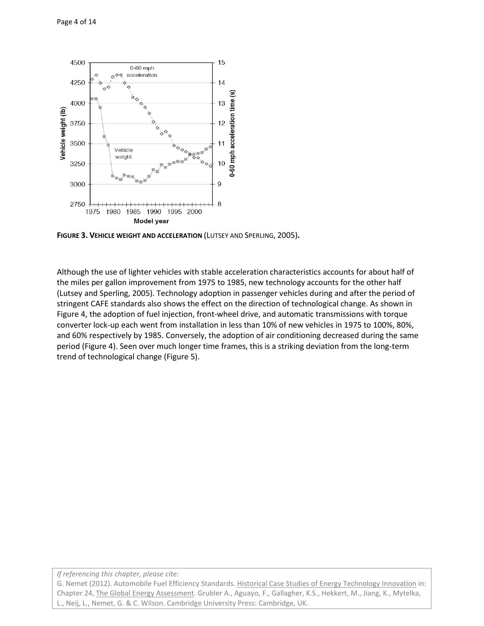

**FIGURE 3. VEHICLE WEIGHT AND ACCELERATION** [\(LUTSEY AND SPERLING,](#page-12-5) 2005)**.**

Although the use of lighter vehicles with stable acceleration characteristics accounts for about half of the miles per gallon improvement from 1975 to 1985, new technology accounts for the other half [\(Lutsey and Sperling, 2005\)](#page-12-5). Technology adoption in passenger vehicles during and after the period of stringent CAFE standards also shows the effect on the direction of technological change. As shown in Figure 4, the adoption of fuel injection, front-wheel drive, and automatic transmissions with torque converter lock-up each went from installation in less than 10% of new vehicles in 1975 to 100%, 80%, and 60% respectively by 1985. Conversely, the adoption of air conditioning decreased during the same period (Figure 4). Seen over much longer time frames, this is a striking deviation from the long-term trend of technological change (Figure 5).

*If referencing this chapter, please cite:*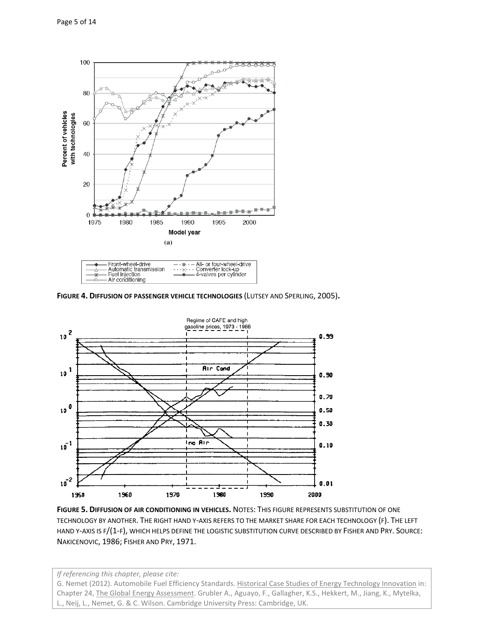

| 1.900111901001191101110010111 | 0.011                 |
|-------------------------------|-----------------------|
| - Fuel injection              | 4-valves per cylinder |
|                               |                       |
| - Air conditioning            |                       |
|                               |                       |

**FIGURE 4. DIFFUSION OF PASSENGER VEHICLE TECHNOLOGIES** [\(LUTSEY AND SPERLING,](#page-12-5) 2005)**.**



**FIGURE 5. DIFFUSION OF AIR CONDITIONING IN VEHICLES.** NOTES: THIS FIGURE REPRESENTS SUBSTITUTION OF ONE TECHNOLOGY BY ANOTHER. THE RIGHT HAND Y-AXIS REFERS TO THE MARKET SHARE FOR EACH TECHNOLOGY (F). THE LEFT HAND Y-AXIS IS F/(1-F), WHICH HELPS DEFINE THE LOGISTIC SUBSTITUTION CURVE DESCRIBED BY FISHER AND PRY. SOURCE: [NAKICENOVIC,](#page-12-6) 1986; [FISHER AND PRY,](#page-12-7) 1971.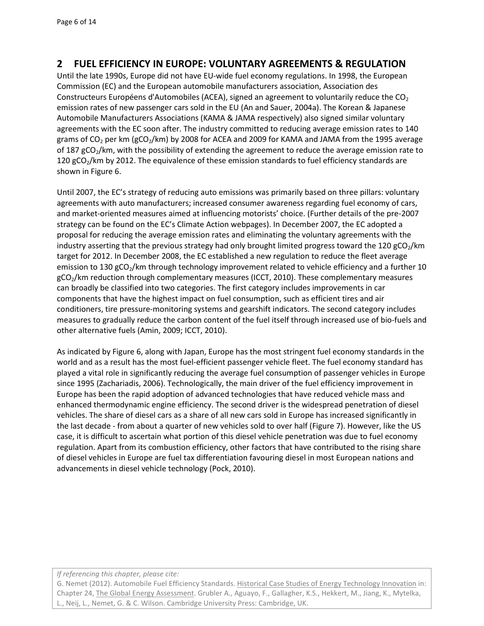# **2 FUEL EFFICIENCY IN EUROPE: VOLUNTARY AGREEMENTS & REGULATION**

Until the late 1990s, Europe did not have EU-wide fuel economy regulations. In 1998, the European Commission (EC) and the European automobile manufacturers association, Association des Constructeurs Européens d'Automobiles (ACEA), signed an agreement to voluntarily reduce the  $CO<sub>2</sub>$ emission rates of new passenger cars sold in the EU [\(An and Sauer, 2004a\)](#page-12-8). The Korean & Japanese Automobile Manufacturers Associations (KAMA & JAMA respectively) also signed similar voluntary agreements with the EC soon after. The industry committed to reducing average emission rates to 140 grams of  $CO<sub>2</sub>$  per km (gCO<sub>2</sub>/km) by 2008 for ACEA and 2009 for KAMA and JAMA from the 1995 average of 187  $gCO<sub>2</sub>/km$ , with the possibility of extending the agreement to reduce the average emission rate to 120 gCO<sub>2</sub>/km by 2012. The equivalence of these emission standards to fuel efficiency standards are shown in Figure 6.

Until 2007, the EC's strategy of reducing auto emissions was primarily based on three pillars: voluntary agreements with auto manufacturers; increased consumer awareness regarding fuel economy of cars, and market-oriented measures aimed at influencing motorists' choice. (Further details of the pre-2007 strategy can be found on the EC's Climate Action webpages). In December 2007, the EC adopted a proposal for reducing the average emission rates and eliminating the voluntary agreements with the industry asserting that the previous strategy had only brought limited progress toward the 120 gCO<sub>2</sub>/km target for 2012. In December 2008, the EC established a new regulation to reduce the fleet average emission to 130 gCO<sub>2</sub>/km through technology improvement related to vehicle efficiency and a further 10 gCO<sub>2</sub>/km reduction through complementary measures [\(ICCT, 2010\)](#page-12-9). These complementary measures can broadly be classified into two categories. The first category includes improvements in car components that have the highest impact on fuel consumption, such as efficient tires and air conditioners, tire pressure-monitoring systems and gearshift indicators. The second category includes measures to gradually reduce the carbon content of the fuel itself through increased use of bio-fuels and other alternative fuels [\(Amin, 2009;](#page-12-10) [ICCT, 2010\)](#page-12-9).

As indicated by Figure 6, along with Japan, Europe has the most stringent fuel economy standards in the world and as a result has the most fuel-efficient passenger vehicle fleet. The fuel economy standard has played a vital role in significantly reducing the average fuel consumption of passenger vehicles in Europe since 1995 [\(Zachariadis, 2006\)](#page-13-0). Technologically, the main driver of the fuel efficiency improvement in Europe has been the rapid adoption of advanced technologies that have reduced vehicle mass and enhanced thermodynamic engine efficiency. The second driver is the widespread penetration of diesel vehicles. The share of diesel cars as a share of all new cars sold in Europe has increased significantly in the last decade - from about a quarter of new vehicles sold to over half (Figure 7). However, like the US case, it is difficult to ascertain what portion of this diesel vehicle penetration was due to fuel economy regulation. Apart from its combustion efficiency, other factors that have contributed to the rising share of diesel vehicles in Europe are fuel tax differentiation favouring diesel in most European nations and advancements in diesel vehicle technology [\(Pock, 2010\)](#page-12-11).

#### *If referencing this chapter, please cite:*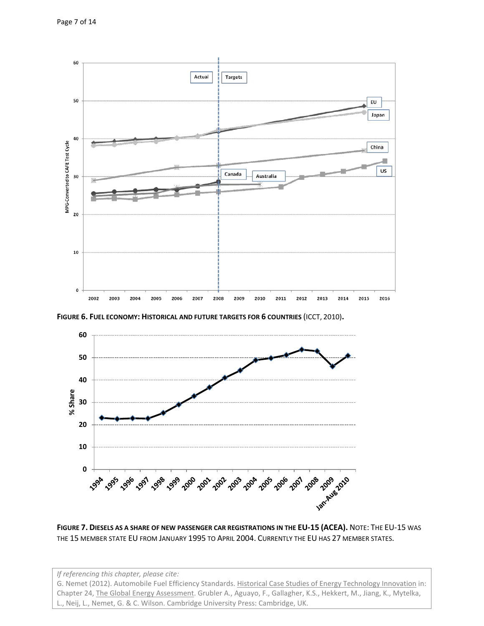

**FIGURE 6. FUEL ECONOMY: HISTORICAL AND FUTURE TARGETS FOR 6 COUNTRIES** [\(ICCT,](#page-12-9) 2010)**.**



**FIGURE 7. DIESELS AS A SHARE OF NEW PASSENGER CAR REGISTRATIONS IN THE EU-15 (ACEA).** NOTE: THE EU-15 WAS THE 15 MEMBER STATE EU FROM JANUARY 1995 TO APRIL 2004. CURRENTLY THE EU HAS 27 MEMBER STATES.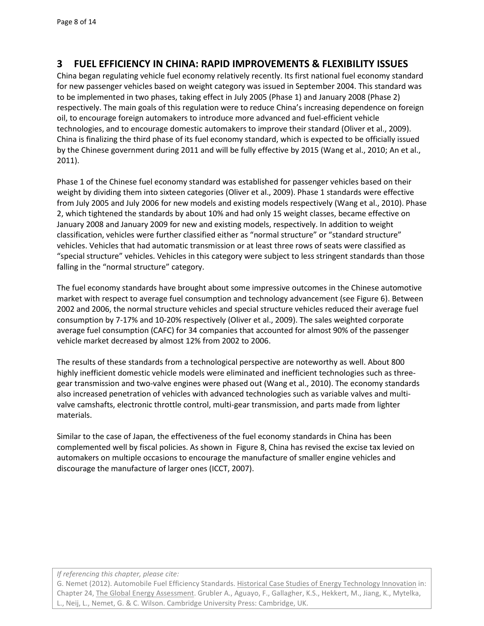# **3 FUEL EFFICIENCY IN CHINA: RAPID IMPROVEMENTS & FLEXIBILITY ISSUES**

China began regulating vehicle fuel economy relatively recently. Its first national fuel economy standard for new passenger vehicles based on weight category was issued in September 2004. This standard was to be implemented in two phases, taking effect in July 2005 (Phase 1) and January 2008 (Phase 2) respectively. The main goals of this regulation were to reduce China's increasing dependence on foreign oil, to encourage foreign automakers to introduce more advanced and fuel-efficient vehicle technologies, and to encourage domestic automakers to improve their standard [\(Oliver et al., 2009\)](#page-12-12). China is finalizing the third phase of its fuel economy standard, which is expected to be officially issued by the Chinese government during 2011 and will be fully effective by 2015 [\(Wang et al., 2010;](#page-13-1) [An et al.,](#page-12-13)  [2011\)](#page-12-13).

Phase 1 of the Chinese fuel economy standard was established for passenger vehicles based on their weight by dividing them into sixteen categories [\(Oliver et al., 2009\)](#page-12-12). Phase 1 standards were effective from July 2005 and July 2006 for new models and existing models respectively [\(Wang et al., 2010\)](#page-13-1). Phase 2, which tightened the standards by about 10% and had only 15 weight classes, became effective on January 2008 and January 2009 for new and existing models, respectively. In addition to weight classification, vehicles were further classified either as "normal structure" or "standard structure" vehicles. Vehicles that had automatic transmission or at least three rows of seats were classified as "special structure" vehicles. Vehicles in this category were subject to less stringent standards than those falling in the "normal structure" category.

The fuel economy standards have brought about some impressive outcomes in the Chinese automotive market with respect to average fuel consumption and technology advancement (see Figure 6). Between 2002 and 2006, the normal structure vehicles and special structure vehicles reduced their average fuel consumption by 7-17% and 10-20% respectively [\(Oliver et al., 2009\)](#page-12-12). The sales weighted corporate average fuel consumption (CAFC) for 34 companies that accounted for almost 90% of the passenger vehicle market decreased by almost 12% from 2002 to 2006.

The results of these standards from a technological perspective are noteworthy as well. About 800 highly inefficient domestic vehicle models were eliminated and inefficient technologies such as threegear transmission and two-valve engines were phased out [\(Wang et al., 2010\)](#page-13-1). The economy standards also increased penetration of vehicles with advanced technologies such as variable valves and multivalve camshafts, electronic throttle control, multi-gear transmission, and parts made from lighter materials.

Similar to the case of Japan, the effectiveness of the fuel economy standards in China has been complemented well by fiscal policies. As shown in Figure 8, China has revised the excise tax levied on automakers on multiple occasions to encourage the manufacture of smaller engine vehicles and discourage the manufacture of larger ones [\(ICCT, 2007\)](#page-12-14).

#### *If referencing this chapter, please cite:*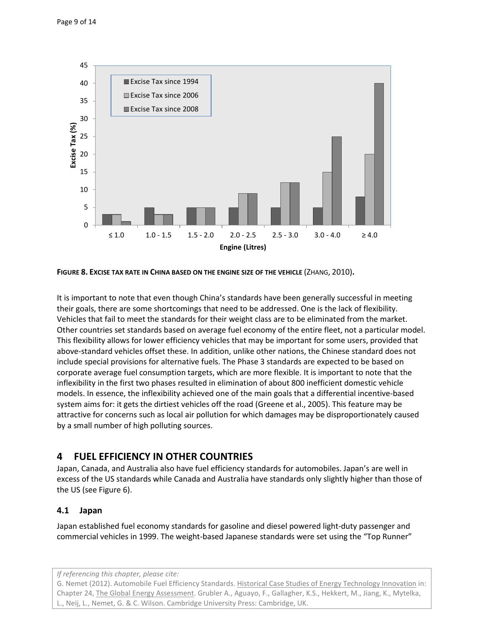

**FIGURE 8. EXCISE TAX RATE IN CHINA BASED ON THE ENGINE SIZE OF THE VEHICLE** [\(ZHANG,](#page-13-2) 201[0\)](#page-13-2)**.**

It is important to note that even though China's standards have been generally successful in meeting their goals, there are some shortcomings that need to be addressed. One is the lack of flexibility. Vehicles that fail to meet the standards for their weight class are to be eliminated from the market. Other countries set standards based on average fuel economy of the entire fleet, not a particular model. This flexibility allows for lower efficiency vehicles that may be important for some users, provided that above-standard vehicles offset these. In addition, unlike other nations, the Chinese standard does not include special provisions for alternative fuels. The Phase 3 standards are expected to be based on corporate average fuel consumption targets, which are more flexible. It is important to note that the inflexibility in the first two phases resulted in elimination of about 800 inefficient domestic vehicle models. In essence, the inflexibility achieved one of the main goals that a differential incentive-based system aims for: it gets the dirtiest vehicles off the road [\(Greene et al., 2005\)](#page-12-15). This feature may be attractive for concerns such as local air pollution for which damages may be disproportionately caused by a small number of high polluting sources.

# **4 FUEL EFFICIENCY IN OTHER COUNTRIES**

Japan, Canada, and Australia also have fuel efficiency standards for automobiles. Japan's are well in excess of the US standards while Canada and Australia have standards only slightly higher than those of the US (see Figure 6).

## **4.1 Japan**

Japan established fuel economy standards for gasoline and diesel powered light-duty passenger and commercial vehicles in 1999. The weight-based Japanese standards were set using the "Top Runner"

*If referencing this chapter, please cite:*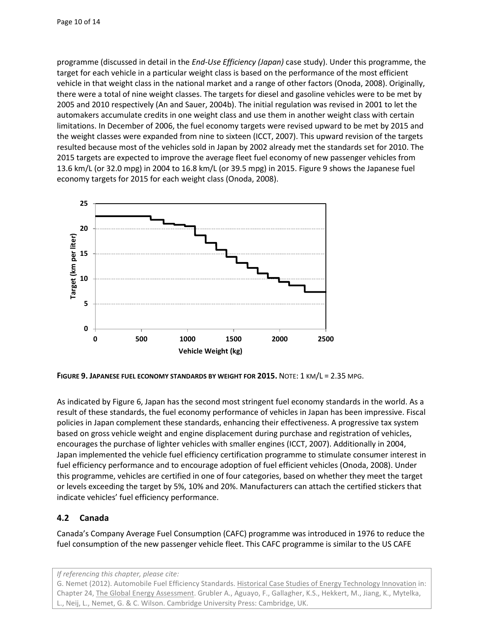programme (discussed in detail in the *End-Use Efficiency (Japan)* case study). Under this programme, the target for each vehicle in a particular weight class is based on the performance of the most efficient vehicle in that weight class in the national market and a range of other factors [\(Onoda, 2008\)](#page-12-16). Originally, there were a total of nine weight classes. The targets for diesel and gasoline vehicles were to be met by 2005 and 2010 respectively [\(An and Sauer, 2004b\)](#page-12-17). The initial regulation was revised in 2001 to let the automakers accumulate credits in one weight class and use them in another weight class with certain limitations. In December of 2006, the fuel economy targets were revised upward to be met by 2015 and the weight classes were expanded from nine to sixteen [\(ICCT, 2007\)](#page-12-14). This upward revision of the targets resulted because most of the vehicles sold in Japan by 2002 already met the standards set for 2010. The 2015 targets are expected to improve the average fleet fuel economy of new passenger vehicles from 13.6 km/L (or 32.0 mpg) in 2004 to 16.8 km/L (or 39.5 mpg) in 2015. Figure 9 shows the Japanese fuel economy targets for 2015 for each weight class [\(Onoda, 2008\)](#page-12-16).



**FIGURE 9. JAPANESE FUEL ECONOMY STANDARDS BY WEIGHT FOR 2015.** NOTE: 1 KM/L = 2.35 MPG.

As indicated by Figure 6, Japan has the second most stringent fuel economy standards in the world. As a result of these standards, the fuel economy performance of vehicles in Japan has been impressive. Fiscal policies in Japan complement these standards, enhancing their effectiveness. A progressive tax system based on gross vehicle weight and engine displacement during purchase and registration of vehicles, encourages the purchase of lighter vehicles with smaller engines [\(ICCT, 2007\)](#page-12-14). Additionally in 2004, Japan implemented the vehicle fuel efficiency certification programme to stimulate consumer interest in fuel efficiency performance and to encourage adoption of fuel efficient vehicles [\(Onoda, 2008\)](#page-12-16). Under this programme, vehicles are certified in one of four categories, based on whether they meet the target or levels exceeding the target by 5%, 10% and 20%. Manufacturers can attach the certified stickers that indicate vehicles' fuel efficiency performance.

## **4.2 Canada**

Canada's Company Average Fuel Consumption (CAFC) programme was introduced in 1976 to reduce the fuel consumption of the new passenger vehicle fleet. This CAFC programme is similar to the US CAFE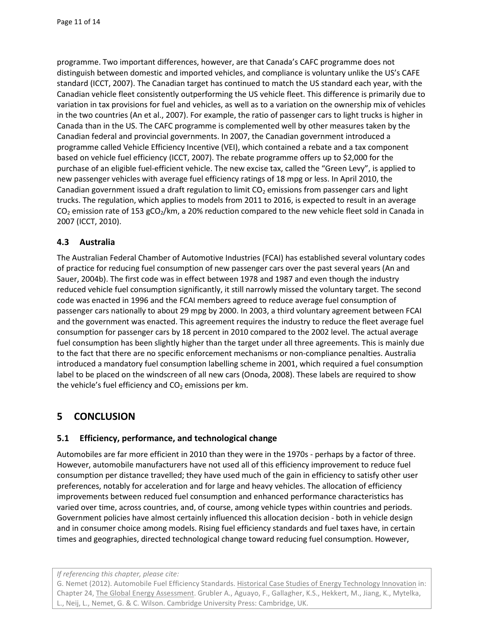programme. Two important differences, however, are that Canada's CAFC programme does not distinguish between domestic and imported vehicles, and compliance is voluntary unlike the US's CAFE standard [\(ICCT, 2007\)](#page-12-14). The Canadian target has continued to match the US standard each year, with the Canadian vehicle fleet consistently outperforming the US vehicle fleet. This difference is primarily due to variation in tax provisions for fuel and vehicles, as well as to a variation on the ownership mix of vehicles in the two countries [\(An et al., 2007\)](#page-12-18). For example, the ratio of passenger cars to light trucks is higher in Canada than in the US. The CAFC programme is complemented well by other measures taken by the Canadian federal and provincial governments. In 2007, the Canadian government introduced a programme called Vehicle Efficiency Incentive (VEI), which contained a rebate and a tax component based on vehicle fuel efficiency [\(ICCT, 2007\)](#page-12-14). The rebate programme offers up to \$2,000 for the purchase of an eligible fuel-efficient vehicle. The new excise tax, called the "Green Levy", is applied to new passenger vehicles with average fuel efficiency ratings of 18 mpg or less. In April 2010, the Canadian government issued a draft regulation to limit  $CO<sub>2</sub>$  emissions from passenger cars and light trucks. The regulation, which applies to models from 2011 to 2016, is expected to result in an average  $CO<sub>2</sub>$  emission rate of 153 gCO<sub>2</sub>/km, a 20% reduction compared to the new vehicle fleet sold in Canada in 2007 [\(ICCT, 2010\)](#page-12-9).

## **4.3 Australia**

The Australian Federal Chamber of Automotive Industries (FCAI) has established several voluntary codes of practice for reducing fuel consumption of new passenger cars over the past several years [\(An and](#page-12-17)  Sauer, 2004b). The first code was in effect between 1978 and 1987 and even though the industry reduced vehicle fuel consumption significantly, it still narrowly missed the voluntary target. The second code was enacted in 1996 and the FCAI members agreed to reduce average fuel consumption of passenger cars nationally to about 29 mpg by 2000. In 2003, a third voluntary agreement between FCAI and the government was enacted. This agreement requires the industry to reduce the fleet average fuel consumption for passenger cars by 18 percent in 2010 compared to the 2002 level. The actual average fuel consumption has been slightly higher than the target under all three agreements. This is mainly due to the fact that there are no specific enforcement mechanisms or non-compliance penalties. Australia introduced a mandatory fuel consumption labelling scheme in 2001, which required a fuel consumption label to be placed on the windscreen of all new cars [\(Onoda, 2008\)](#page-12-16). These labels are required to show the vehicle's fuel efficiency and  $CO<sub>2</sub>$  emissions per km.

# **5 CONCLUSION**

## **5.1 Efficiency, performance, and technological change**

Automobiles are far more efficient in 2010 than they were in the 1970s - perhaps by a factor of three. However, automobile manufacturers have not used all of this efficiency improvement to reduce fuel consumption per distance travelled; they have used much of the gain in efficiency to satisfy other user preferences, notably for acceleration and for large and heavy vehicles. The allocation of efficiency improvements between reduced fuel consumption and enhanced performance characteristics has varied over time, across countries, and, of course, among vehicle types within countries and periods. Government policies have almost certainly influenced this allocation decision - both in vehicle design and in consumer choice among models. Rising fuel efficiency standards and fuel taxes have, in certain times and geographies, directed technological change toward reducing fuel consumption. However,

#### *If referencing this chapter, please cite:*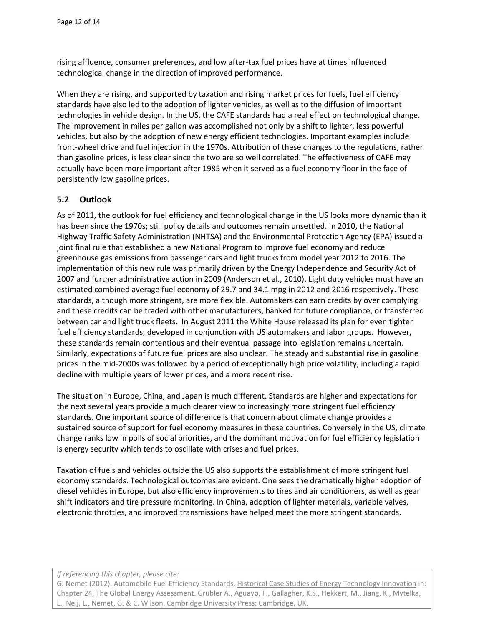rising affluence, consumer preferences, and low after-tax fuel prices have at times influenced technological change in the direction of improved performance.

When they are rising, and supported by taxation and rising market prices for fuels, fuel efficiency standards have also led to the adoption of lighter vehicles, as well as to the diffusion of important technologies in vehicle design. In the US, the CAFE standards had a real effect on technological change. The improvement in miles per gallon was accomplished not only by a shift to lighter, less powerful vehicles, but also by the adoption of new energy efficient technologies. Important examples include front-wheel drive and fuel injection in the 1970s. Attribution of these changes to the regulations, rather than gasoline prices, is less clear since the two are so well correlated. The effectiveness of CAFE may actually have been more important after 1985 when it served as a fuel economy floor in the face of persistently low gasoline prices.

## **5.2 Outlook**

As of 2011, the outlook for fuel efficiency and technological change in the US looks more dynamic than it has been since the 1970s; still policy details and outcomes remain unsettled. In 2010, the National Highway Traffic Safety Administration (NHTSA) and the Environmental Protection Agency (EPA) issued a joint final rule that established a new National Program to improve fuel economy and reduce greenhouse gas emissions from passenger cars and light trucks from model year 2012 to 2016. The implementation of this new rule was primarily driven by the Energy Independence and Security Act of 2007 and further administrative action in 2009 [\(Anderson et al., 2010\)](#page-12-3). Light duty vehicles must have an estimated combined average fuel economy of 29.7 and 34.1 mpg in 2012 and 2016 respectively. These standards, although more stringent, are more flexible. Automakers can earn credits by over complying and these credits can be traded with other manufacturers, banked for future compliance, or transferred between car and light truck fleets. In August 2011 the White House released its plan for even tighter fuel efficiency standards, developed in conjunction with US automakers and labor groups. However, these standards remain contentious and their eventual passage into legislation remains uncertain. Similarly, expectations of future fuel prices are also unclear. The steady and substantial rise in gasoline prices in the mid-2000s was followed by a period of exceptionally high price volatility, including a rapid decline with multiple years of lower prices, and a more recent rise.

The situation in Europe, China, and Japan is much different. Standards are higher and expectations for the next several years provide a much clearer view to increasingly more stringent fuel efficiency standards. One important source of difference is that concern about climate change provides a sustained source of support for fuel economy measures in these countries. Conversely in the US, climate change ranks low in polls of social priorities, and the dominant motivation for fuel efficiency legislation is energy security which tends to oscillate with crises and fuel prices.

Taxation of fuels and vehicles outside the US also supports the establishment of more stringent fuel economy standards. Technological outcomes are evident. One sees the dramatically higher adoption of diesel vehicles in Europe, but also efficiency improvements to tires and air conditioners, as well as gear shift indicators and tire pressure monitoring. In China, adoption of lighter materials, variable valves, electronic throttles, and improved transmissions have helped meet the more stringent standards.

#### *If referencing this chapter, please cite:*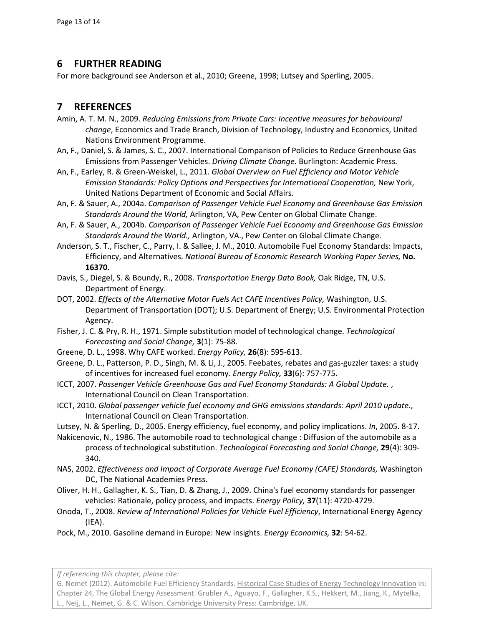## **6 FURTHER READING**

For more background see [Anderson et al., 2010;](#page-12-3) [Greene, 1998;](#page-12-0) [Lutsey and Sperling, 2005.](#page-12-5)

# **7 REFERENCES**

- <span id="page-12-10"></span>Amin, A. T. M. N., 2009. *Reducing Emissions from Private Cars: Incentive measures for behavioural change*, Economics and Trade Branch, Division of Technology, Industry and Economics, United Nations Environment Programme.
- <span id="page-12-18"></span>An, F., Daniel, S. & James, S. C., 2007. International Comparison of Policies to Reduce Greenhouse Gas Emissions from Passenger Vehicles. *Driving Climate Change.* Burlington: Academic Press.
- <span id="page-12-13"></span>An, F., Earley, R. & Green-Weiskel, L., 2011. *Global Overview on Fuel Efficiency and Motor Vehicle Emission Standards: Policy Options and Perspectives for International Cooperation,* New York, United Nations Department of Economic and Social Affairs.
- <span id="page-12-8"></span>An, F. & Sauer, A., 2004a. *Comparison of Passenger Vehicle Fuel Economy and Greenhouse Gas Emission Standards Around the World,* Arlington, VA, Pew Center on Global Climate Change.
- <span id="page-12-17"></span>An, F. & Sauer, A., 2004b. *Comparison of Passenger Vehicle Fuel Economy and Greenhouse Gas Emission Standards Around the World.,* Arlington, VA., Pew Center on Global Climate Change.
- <span id="page-12-3"></span>Anderson, S. T., Fischer, C., Parry, I. & Sallee, J. M., 2010. Automobile Fuel Economy Standards: Impacts, Efficiency, and Alternatives. *National Bureau of Economic Research Working Paper Series,* **No. 16370**.
- <span id="page-12-1"></span>Davis, S., Diegel, S. & Boundy, R., 2008. *Transportation Energy Data Book,* Oak Ridge, TN, U.S. Department of Energy.
- <span id="page-12-2"></span>DOT, 2002. *Effects of the Alternative Motor Fuels Act CAFE Incentives Policy,* Washington, U.S. Department of Transportation (DOT); U.S. Department of Energy; U.S. Environmental Protection Agency.
- <span id="page-12-7"></span>Fisher, J. C. & Pry, R. H., 1971. Simple substitution model of technological change. *Technological Forecasting and Social Change,* **3**(1): 75-88.
- <span id="page-12-0"></span>Greene, D. L., 1998. Why CAFE worked. *Energy Policy,* **26**(8): 595-613.
- <span id="page-12-15"></span>Greene, D. L., Patterson, P. D., Singh, M. & Li, J., 2005. Feebates, rebates and gas-guzzler taxes: a study of incentives for increased fuel economy. *Energy Policy,* **33**(6): 757-775.
- <span id="page-12-14"></span>ICCT, 2007. *Passenger Vehicle Greenhouse Gas and Fuel Economy Standards: A Global Update.* , International Council on Clean Transportation.
- <span id="page-12-9"></span>ICCT, 2010. *Global passenger vehicle fuel economy and GHG emissions standards: April 2010 update.*, International Council on Clean Transportation.
- <span id="page-12-5"></span>Lutsey, N. & Sperling, D., 2005. Energy efficiency, fuel economy, and policy implications. *In*, 2005. 8-17.
- <span id="page-12-6"></span>Nakicenovic, N., 1986. The automobile road to technological change : Diffusion of the automobile as a process of technological substitution. *Technological Forecasting and Social Change,* **29**(4): 309- 340.
- <span id="page-12-4"></span>NAS, 2002. *Effectiveness and Impact of Corporate Average Fuel Economy (CAFE) Standards,* Washington DC, The National Academies Press.
- <span id="page-12-12"></span>Oliver, H. H., Gallagher, K. S., Tian, D. & Zhang, J., 2009. China's fuel economy standards for passenger vehicles: Rationale, policy process, and impacts. *Energy Policy,* **37**(11): 4720-4729.
- <span id="page-12-16"></span>Onoda, T., 2008. *Review of International Policies for Vehicle Fuel Efficiency*, International Energy Agency (IEA).
- <span id="page-12-11"></span>Pock, M., 2010. Gasoline demand in Europe: New insights. *Energy Economics,* **32**: 54-62.

*If referencing this chapter, please cite:*